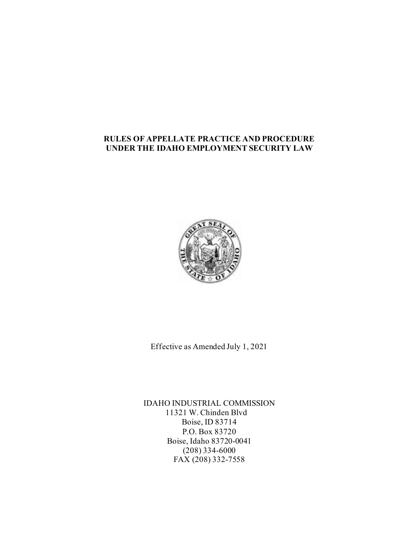# **RULES OF APPELLATE PRACTICE AND PROCEDURE UNDER THE IDAHO EMPLOYMENT SECURITY LAW**



Effective as Amended July 1, 2021

IDAHO INDUSTRIAL COMMISSION 11321 W. Chinden Blvd Boise, ID 83714 P.O. Box 83720 Boise, Idaho 83720-0041 (208) 334-6000 FAX (208) 332-7558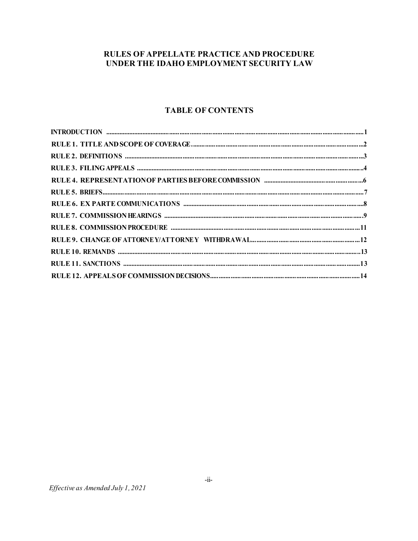# RULES OF APPELLATE PRACTICE AND PROCEDURE UNDER THE IDAHO EMPLOYMENT SECURITY LAW

# **TABLE OF CONTENTS**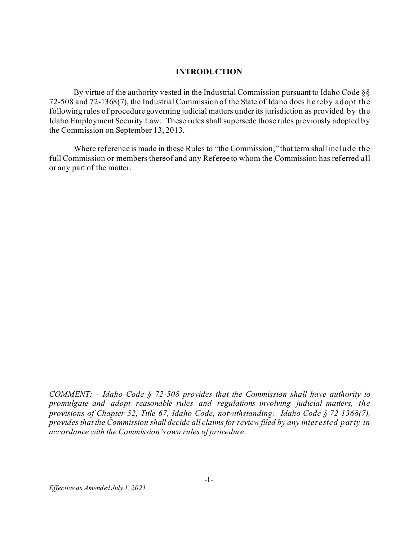#### **INTRODUCTION**

By virtue of the authority vested in the Industrial Commission pursuant to Idaho Code §§ 72-508 and 72-1368(7), the Industrial Commission of the State of Idaho does hereby adopt the following rules of procedure governing judicial matters under its jurisdiction as provided by the Idaho Employment Security Law. These rules shall supersede those rules previously adopted by the Commission on September 13, 2013.

Where reference is made in these Rules to "the Commission," that term shall include the full Commission or members thereof and any Referee to whom the Commission has referred all or any part of the matter.

*COMMENT: - Idaho Code § 72-508 provides that the Commission shall have authority to promulgate and adopt reasonable rules and regulations involving judicial matters, the provisions of Chapter 52, Title 67, Idaho Code, notwithstanding. Idaho Code § 72-1368(7), provides that the Commission shall decide all claims for review filed by any interested party in accordance with the Commission's own rules of procedure.*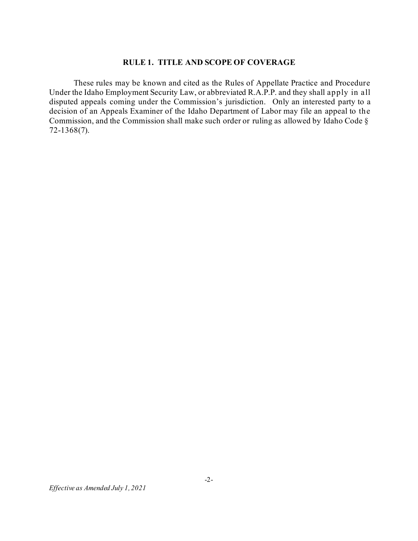### **RULE 1. TITLE AND SCOPE OF COVERAGE**

These rules may be known and cited as the Rules of Appellate Practice and Procedure Under the Idaho Employment Security Law, or abbreviated R.A.P.P. and they shall apply in all disputed appeals coming under the Commission's jurisdiction. Only an interested party to a decision of an Appeals Examiner of the Idaho Department of Labor may file an appeal to the Commission, and the Commission shall make such order or ruling as allowed by Idaho Code § 72-1368(7).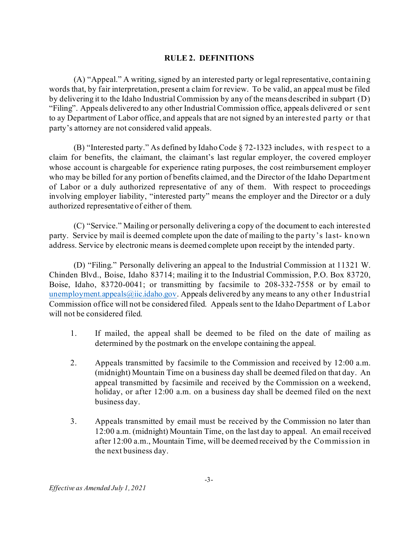## **RULE 2. DEFINITIONS**

(A) "Appeal." A writing, signed by an interested party or legal representative, containing words that, by fair interpretation, present a claim for review. To be valid, an appeal must be filed by delivering it to the Idaho Industrial Commission by any of the means described in subpart (D) "Filing". Appeals delivered to any other Industrial Commission office, appeals delivered or sent to ay Department of Labor office, and appeals that are not signed by an interested party or that party's attorney are not considered valid appeals.

(B) "Interested party." As defined by Idaho Code § 72-1323 includes, with respect to a claim for benefits, the claimant, the claimant's last regular employer, the covered employer whose account is chargeable for experience rating purposes, the cost reimbursement employer who may be billed for any portion of benefits claimed, and the Director of the Idaho Department of Labor or a duly authorized representative of any of them. With respect to proceedings involving employer liability, "interested party" means the employer and the Director or a duly authorized representative of either of them.

(C) "Service." Mailing or personally delivering a copy of the document to each interested party. Service by mail is deemed complete upon the date of mailing to the party's last- known address. Service by electronic means is deemed complete upon receipt by the intended party.

(D) "Filing." Personally delivering an appeal to the Industrial Commission at 11321 W. Chinden Blvd., Boise, Idaho 83714; mailing it to the Industrial Commission, P.O. Box 83720, Boise, Idaho, 83720-0041; or transmitting by facsimile to 208-332-7558 or by email to [unemployment.appeals@iic.idaho.gov](mailto:unemployment.appeals@iic.idaho.gov). Appeals delivered by any means to any other Industrial Commission office will not be considered filed. Appeals sent to the Idaho Department of Labor will not be considered filed.

- 1. If mailed, the appeal shall be deemed to be filed on the date of mailing as determined by the postmark on the envelope containing the appeal.
- 2. Appeals transmitted by facsimile to the Commission and received by 12:00 a.m. (midnight) Mountain Time on a business day shall be deemed filed on that day. An appeal transmitted by facsimile and received by the Commission on a weekend, holiday, or after 12:00 a.m. on a business day shall be deemed filed on the next business day.
- 3. Appeals transmitted by email must be received by the Commission no later than 12:00 a.m. (midnight) Mountain Time, on the last day to appeal. An email received after 12:00 a.m., Mountain Time, will be deemed received by the Commission in the next business day.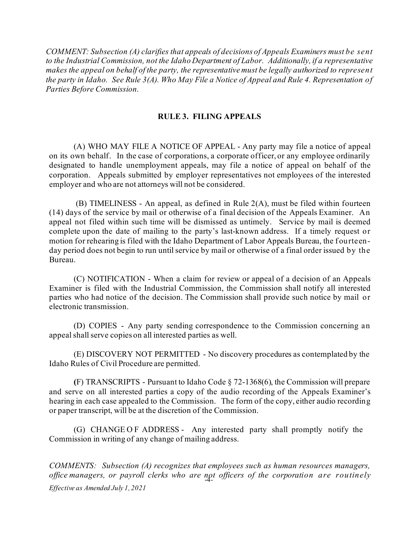*COMMENT: Subsection (A) clarifies that appeals of decisions of Appeals Examiners must be sent to the Industrial Commission, not the Idaho Department of Labor. Additionally, if a representative makes the appeal on behalf of the party, the representative must be legally authorized to represent the party in Idaho. See Rule 3(A). Who May File a Notice of Appeal and Rule 4. Representation of Parties Before Commission.*

## **RULE 3. FILING APPEALS**

(A) WHO MAY FILE A NOTICE OF APPEAL - Any party may file a notice of appeal on its own behalf. In the case of corporations, a corporate officer, or any employee ordinarily designated to handle unemployment appeals, may file a notice of appeal on behalf of the corporation. Appeals submitted by employer representatives not employees of the interested employer and who are not attorneys will not be considered.

(B) TIMELINESS - An appeal, as defined in Rule 2(A), must be filed within fourteen (14) days of the service by mail or otherwise of a final decision of the Appeals Examiner. An appeal not filed within such time will be dismissed as untimely. Service by mail is deemed complete upon the date of mailing to the party's last-known address. If a timely request or motion for rehearing is filed with the Idaho Department of Labor Appeals Bureau, the fourteenday period does not begin to run until service by mail or otherwise of a final order issued by the Bureau.

(C) NOTIFICATION - When a claim for review or appeal of a decision of an Appeals Examiner is filed with the Industrial Commission, the Commission shall notify all interested parties who had notice of the decision. The Commission shall provide such notice by mail or electronic transmission.

(D) COPIES - Any party sending correspondence to the Commission concerning an appeal shall serve copies on all interested parties as well.

(E) DISCOVERY NOT PERMITTED - No discovery procedures as contemplated by the Idaho Rules of Civil Procedure are permitted.

**(**F) TRANSCRIPTS - Pursuant to Idaho Code § 72-1368(6), the Commission will prepare and serve on all interested parties a copy of the audio recording of the Appeals Examiner's hearing in each case appealed to the Commission. The form of the copy, either audio recording or paper transcript, will be at the discretion of the Commission.

(G) CHANGE O F ADDRESS - Any interested party shall promptly notify the Commission in writing of any change of mailing address.

office managers, or payroll clerks who are not officers of the corporation are routinely *Effective as Amended July 1, 2021 COMMENTS: Subsection (A) recognizes that employees such as human resources managers,*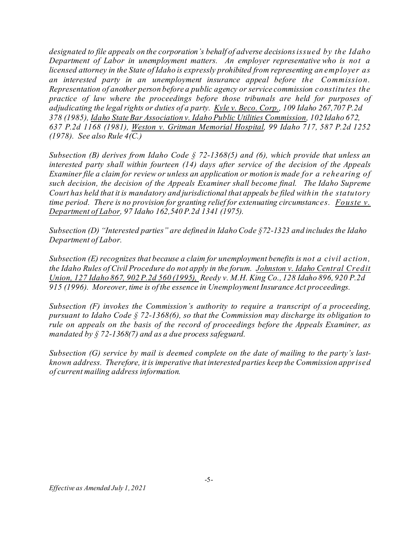*designated to file appeals on the corporation's behalf of adverse decisionsissued by the Idaho Department of Labor in unemployment matters. An employer representative who is not a licensed attorney in the State of Idaho is expressly prohibited from representing an employer as an interested party in an unemployment insurance appeal before the Commission. Representation of another person before a public agency or service commission constitutes the practice of law where the proceedings before those tribunals are held for purposes of adjudicating the legalrights or duties of a party. Kyle v. Beco. Corp., 109 Idaho 267,707 P.2d 378 (1985), Idaho State Bar Association v. Idaho Public Utilities Commission, 102 Idaho 672, 637 P.2d 1168 (1981), Weston v. Gritman Memorial Hospital, 99 Idaho 717, 587 P.2d 1252 (1978). See also Rule 4(C.)*

*Subsection (B) derives from Idaho Code § 72-1368(5) and (6), which provide that unless an interested party shall within fourteen (14) days after service of the decision of the Appeals Examiner file a claim for review or unless an application or motion is made for a rehearing of such decision, the decision of the Appeals Examiner shall become final. The Idaho Supreme Court has held that it is mandatory and jurisdictional that appeals be filed within the statutory time period. There is no provision for granting relief for extenuating circumstances. Fouste v. Department of Labor, 97 Idaho 162,540 P.2d 1341 (1975).*

*Subsection (D) "Interested parties" are defined in Idaho Code §72-1323 and includes the Idaho Department of Labor.*

*Subsection (E) recognizes that because a claim for unemployment benefits is not a civil action, the Idaho Rules of Civil Procedure do not apply in the forum. Johnston v. Idaho Central Credit Union, 127 Idaho 867, 902 P.2d 560 (1995), Reedy v. M.H. King Co., 128 Idaho 896, 920 P.2d 915 (1996). Moreover, time is of the essence in Unemployment Insurance Act proceedings.*

*Subsection (F) invokes the Commission's authority to require a transcript of a proceeding, pursuant to Idaho Code § 72-1368(6), so that the Commission may discharge its obligation to rule on appeals on the basis of the record of proceedings before the Appeals Examiner, as mandated by § 72-1368(7) and as a due process safeguard.*

*Subsection (G) service by mail is deemed complete on the date of mailing to the party's lastknown address. Therefore, it is imperative that interested parties keep the Commission apprised of current mailing address information.*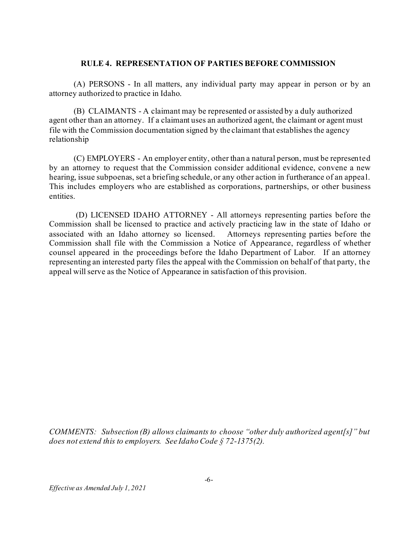#### **RULE 4. REPRESENTATION OF PARTIES BEFORE COMMISSION**

(A) PERSONS - In all matters, any individual party may appear in person or by an attorney authorized to practice in Idaho.

(B) CLAIMANTS - A claimant may be represented or assisted by a duly authorized agent other than an attorney. If a claimant uses an authorized agent, the claimant or agent must file with the Commission documentation signed by the claimant that establishes the agency relationship

(C) EMPLOYERS - An employer entity, other than a natural person, must be represented by an attorney to request that the Commission consider additional evidence, convene a new hearing, issue subpoenas, set a briefing schedule, or any other action in furtherance of an appeal. This includes employers who are established as corporations, partnerships, or other business entities.

(D) LICENSED IDAHO ATTORNEY - All attorneys representing parties before the Commission shall be licensed to practice and actively practicing law in the state of Idaho or associated with an Idaho attorney so licensed. Attorneys representing parties before the Commission shall file with the Commission a Notice of Appearance, regardless of whether counsel appeared in the proceedings before the Idaho Department of Labor*.* If an attorney representing an interested party files the appeal with the Commission on behalf of that party, the appeal will serve as the Notice of Appearance in satisfaction of this provision.

*COMMENTS: Subsection (B) allows claimants to choose "other duly authorized agent[s]" but does not extend this to employers. See Idaho Code § 72-1375(2).*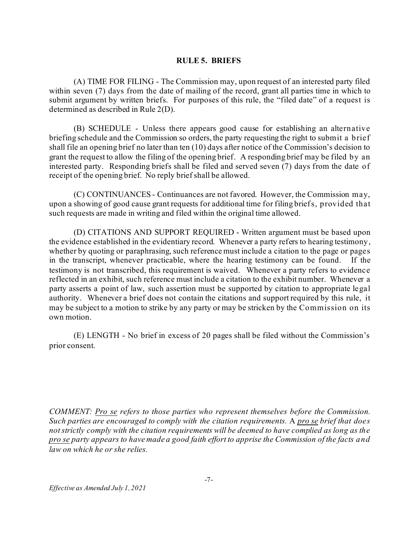### **RULE 5. BRIEFS**

(A) TIME FOR FILING - The Commission may, upon request of an interested party filed within seven (7) days from the date of mailing of the record, grant all parties time in which to submit argument by written briefs. For purposes of this rule, the "filed date" of a request is determined as described in Rule 2(D).

(B) SCHEDULE - Unless there appears good cause for establishing an alternative briefing schedule and the Commission so orders, the party requesting the right to submit a brief shall file an opening brief no later than ten (10) days after notice of the Commission's decision to grant the request to allow the filing of the opening brief. A responding brief may be filed by an interested party. Responding briefs shall be filed and served seven (7) days from the date of receipt of the opening brief. No reply brief shall be allowed.

(C) CONTINUANCES - Continuances are not favored. However, the Commission may, upon a showing of good cause grant requests for additional time for filing briefs, provided that such requests are made in writing and filed within the original time allowed.

(D) CITATIONS AND SUPPORT REQUIRED - Written argument must be based upon the evidence established in the evidentiary record. Whenever a party refers to hearing testimony, whether by quoting or paraphrasing, such reference must include a citation to the page or pages in the transcript, whenever practicable, where the hearing testimony can be found. If the testimony is not transcribed, this requirement is waived. Whenever a party refers to evidence reflected in an exhibit, such reference must include a citation to the exhibit number. Whenever a party asserts a point of law, such assertion must be supported by citation to appropriate legal authority. Whenever a brief does not contain the citations and support required by this rule, it may be subject to a motion to strike by any party or may be stricken by the Commission on its own motion.

(E) LENGTH - No brief in excess of 20 pages shall be filed without the Commission's prior consent.

*COMMENT: Pro se refers to those parties who represent themselves before the Commission. Such parties are encouraged to comply with the citation requirements.* A *pro se brief that does notstrictly comply with the citation requirements will be deemed to have complied as long as the pro se party appears to have made a good faith effort to apprise the Commission of the facts and law on which he or she relies.*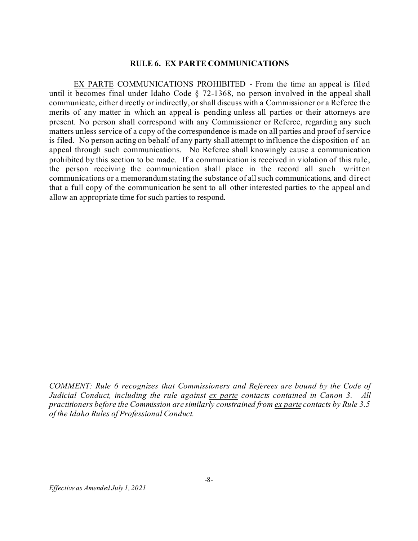#### **RULE 6. EX PARTE COMMUNICATIONS**

EX PARTE COMMUNICATIONS PROHIBITED - From the time an appeal is filed until it becomes final under Idaho Code § 72-1368, no person involved in the appeal shall communicate, either directly or indirectly, or shall discuss with a Commissioner or a Referee the merits of any matter in which an appeal is pending unless all parties or their attorneys are present. No person shall correspond with any Commissioner or Referee, regarding any such matters unless service of a copy of the correspondence is made on all parties and proof of service is filed. No person acting on behalf of any party shall attempt to influence the disposition of an appeal through such communications. No Referee shall knowingly cause a communication prohibited by this section to be made. If a communication is received in violation of this rule, the person receiving the communication shall place in the record all such written communications or a memorandum stating the substance of all such communications, and direct that a full copy of the communication be sent to all other interested parties to the appeal and allow an appropriate time for such parties to respond.

*COMMENT: Rule 6 recognizes that Commissioners and Referees are bound by the Code of Judicial Conduct, including the rule against ex parte contacts contained in Canon 3. All practitioners before the Commission are similarly constrained from ex parte contacts by Rule 3.5 of the Idaho Rules of Professional Conduct.*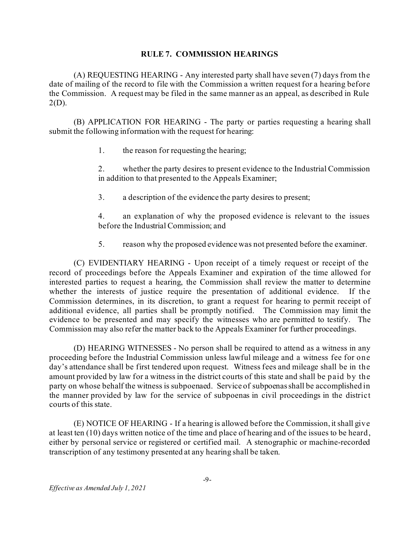## **RULE 7. COMMISSION HEARINGS**

(A) REQUESTING HEARING - Any interested party shall have seven (7) days from the date of mailing of the record to file with the Commission a written request for a hearing before the Commission. A request may be filed in the same manner as an appeal, as described in Rule  $2(D)$ .

(B) APPLICATION FOR HEARING - The party or parties requesting a hearing shall submit the following information with the request for hearing:

1. the reason for requesting the hearing;

2. whether the party desires to present evidence to the Industrial Commission in addition to that presented to the Appeals Examiner;

3. a description of the evidence the party desires to present;

4. an explanation of why the proposed evidence is relevant to the issues before the Industrial Commission; and

5. reason why the proposed evidence was not presented before the examiner.

(C) EVIDENTIARY HEARING - Upon receipt of a timely request or receipt of the record of proceedings before the Appeals Examiner and expiration of the time allowed for interested parties to request a hearing, the Commission shall review the matter to determine whether the interests of justice require the presentation of additional evidence. If the Commission determines, in its discretion, to grant a request for hearing to permit receipt of additional evidence, all parties shall be promptly notified. The Commission may limit the evidence to be presented and may specify the witnesses who are permitted to testify. The Commission may also refer the matter back to the Appeals Examiner for further proceedings.

(D) HEARING WITNESSES - No person shall be required to attend as a witness in any proceeding before the Industrial Commission unless lawful mileage and a witness fee for one day's attendance shall be first tendered upon request. Witness fees and mileage shall be in the amount provided by law for a witness in the district courts of this state and shall be paid by the party on whose behalf the witness is subpoenaed. Service of subpoenasshall be accomplished in the manner provided by law for the service of subpoenas in civil proceedings in the district courts of this state.

(E) NOTICE OF HEARING - If a hearing is allowed before the Commission, itshall give at least ten (10) days written notice of the time and place of hearing and of the issues to be heard, either by personal service or registered or certified mail. A stenographic or machine-recorded transcription of any testimony presented at any hearing shall be taken.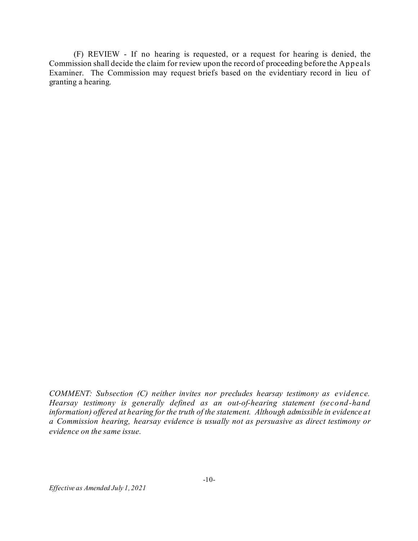(F) REVIEW - If no hearing is requested, or a request for hearing is denied, the Commission shall decide the claim for review upon the record of proceeding before the Appeals Examiner. The Commission may request briefs based on the evidentiary record in lieu of granting a hearing.

*COMMENT: Subsection (C) neither invites nor precludes hearsay testimony as evidence. Hearsay testimony is generally defined as an out-of-hearing statement (second-hand information) offered at hearing for the truth of the statement. Although admissible in evidence at a Commission hearing, hearsay evidence is usually not as persuasive as direct testimony or evidence on the same issue.*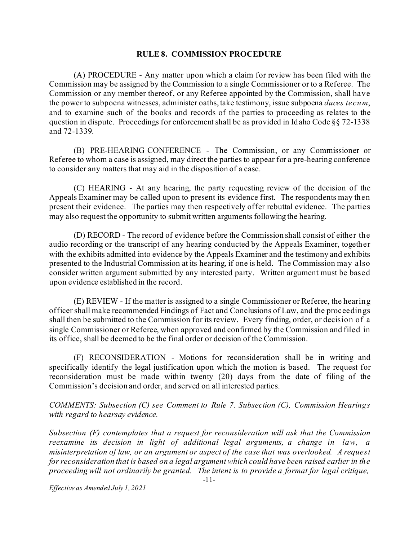#### **RULE 8. COMMISSION PROCEDURE**

(A) PROCEDURE - Any matter upon which a claim for review has been filed with the Commission may be assigned by the Commission to a single Commissioner or to a Referee. The Commission or any member thereof, or any Referee appointed by the Commission, shall have the power to subpoena witnesses, administer oaths, take testimony, issue subpoena *duces tecum*, and to examine such of the books and records of the parties to proceeding as relates to the question in dispute. Proceedings for enforcementshall be as provided in Idaho Code §§ 72-1338 and 72-1339.

(B) PRE-HEARING CONFERENCE - The Commission, or any Commissioner or Referee to whom a case is assigned, may direct the parties to appear for a pre-hearing conference to consider any matters that may aid in the disposition of a case.

(C) HEARING - At any hearing, the party requesting review of the decision of the Appeals Examiner may be called upon to present its evidence first. The respondents may then present their evidence. The parties may then respectively offer rebuttal evidence. The parties may also request the opportunity to submit written arguments following the hearing.

(D) RECORD - The record of evidence before the Commission shall consist of either the audio recording or the transcript of any hearing conducted by the Appeals Examiner, together with the exhibits admitted into evidence by the Appeals Examiner and the testimony and exhibits presented to the Industrial Commission at its hearing, if one is held. The Commission may also consider written argument submitted by any interested party. Written argument must be based upon evidence established in the record.

(E) REVIEW - If the matter is assigned to a single Commissioner or Referee, the hearing officer shall make recommended Findings of Fact and Conclusions of Law, and the proceedings shall then be submitted to the Commission for its review. Every finding, order, or decision of a single Commissioner or Referee, when approved and confirmed by the Commission and filed in its office, shall be deemed to be the final order or decision of the Commission.

(F) RECONSIDERATION - Motions for reconsideration shall be in writing and specifically identify the legal justification upon which the motion is based. The request for reconsideration must be made within twenty (20) days from the date of filing of the Commission's decision and order, and served on all interested parties.

*COMMENTS: Subsection (C) see Comment to Rule 7. Subsection (C), Commission Hearings with regard to hearsay evidence.*

*Subsection (F) contemplates that a request for reconsideration will ask that the Commission reexamine its decision in light of additional legal arguments, a change in law, a misinterpretation of law, or an argument or aspect of the case that was overlooked. A request for reconsideration that is based on a legal argument which could have been raised earlier in the proceeding will not ordinarily be granted. The intent is to provide a format for legal critique,*

*Effective as Amended July 1, 2021*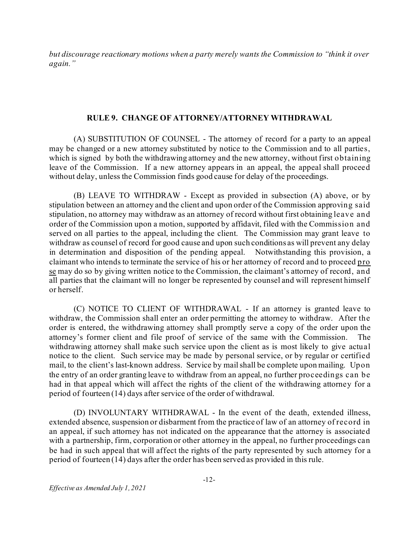*but discourage reactionary motions when a party merely wants the Commission to "think it over again."*

#### **RULE 9. CHANGE OF ATTORNEY/ATTORNEY WITHDRAWAL**

(A) SUBSTITUTION OF COUNSEL - The attorney of record for a party to an appeal may be changed or a new attorney substituted by notice to the Commission and to all parties, which is signed by both the withdrawing attorney and the new attorney, without first obtaining leave of the Commission. If a new attorney appears in an appeal, the appeal shall proceed without delay, unless the Commission finds good cause for delay of the proceedings.

(B) LEAVE TO WITHDRAW - Except as provided in subsection (A) above, or by stipulation between an attorney and the client and upon order of the Commission approving said stipulation, no attorney may withdraw as an attorney of record without first obtaining leave and order of the Commission upon a motion, supported by affidavit, filed with the Commission and served on all parties to the appeal, including the client. The Commission may grant leave to withdraw as counsel of record for good cause and upon such conditions as will prevent any delay in determination and disposition of the pending appeal. Notwithstanding this provision, a claimant who intends to terminate the service of his or her attorney of record and to proceed pro se may do so by giving written notice to the Commission, the claimant's attorney of record, and all parties that the claimant will no longer be represented by counsel and will represent himself or herself.

(C) NOTICE TO CLIENT OF WITHDRAWAL - If an attorney is granted leave to withdraw, the Commission shall enter an order permitting the attorney to withdraw. After the order is entered, the withdrawing attorney shall promptly serve a copy of the order upon the attorney's former client and file proof of service of the same with the Commission. The withdrawing attorney shall make such service upon the client as is most likely to give actual notice to the client. Such service may be made by personal service, or by regular or certified mail, to the client's last-known address. Service by mailshall be complete upon mailing. Upon the entry of an order granting leave to withdraw from an appeal, no further proceedings can be had in that appeal which will affect the rights of the client of the withdrawing attorney for a period of fourteen (14) days after service of the order of withdrawal.

(D) INVOLUNTARY WITHDRAWAL - In the event of the death, extended illness, extended absence, suspension or disbarment from the practice of law of an attorney of record in an appeal, if such attorney has not indicated on the appearance that the attorney is associated with a partnership, firm, corporation or other attorney in the appeal, no further proceedings can be had in such appeal that will affect the rights of the party represented by such attorney for a period of fourteen (14) days after the order has been served as provided in this rule.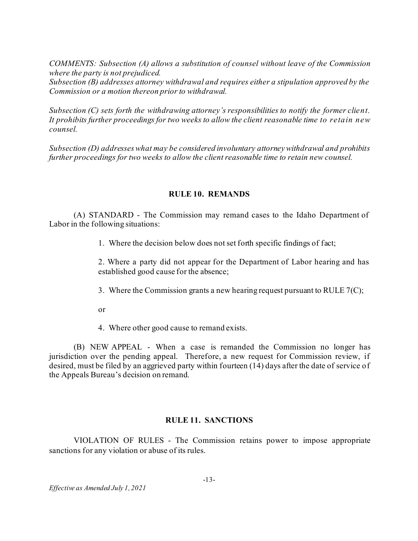*COMMENTS: Subsection (A) allows a substitution of counsel without leave of the Commission where the party is not prejudiced.*

*Subsection (B) addresses attorney withdrawal and requires either a stipulation approved by the Commission or a motion thereon prior to withdrawal.*

*Subsection (C) sets forth the withdrawing attorney's responsibilities to notify the former client. It prohibits further proceedings for two weeks to allow the client reasonable time to retain new counsel.*

*Subsection (D) addresseswhat may be considered involuntary attorneywithdrawal and prohibits further proceedings for two weeks to allow the client reasonable time to retain new counsel.*

## **RULE 10. REMANDS**

(A) STANDARD - The Commission may remand cases to the Idaho Department of Labor in the following situations:

1. Where the decision below does not set forth specific findings of fact;

2. Where a party did not appear for the Department of Labor hearing and has established good cause for the absence;

- 3. Where the Commission grants a new hearing request pursuant to RULE  $7(C)$ ;
- or
- 4. Where other good cause to remand exists.

(B) NEW APPEAL - When a case is remanded the Commission no longer has jurisdiction over the pending appeal. Therefore, a new request for Commission review, if desired, must be filed by an aggrieved party within fourteen (14) days after the date of service of the Appeals Bureau's decision on remand.

## **RULE 11. SANCTIONS**

VIOLATION OF RULES - The Commission retains power to impose appropriate sanctions for any violation or abuse of its rules.